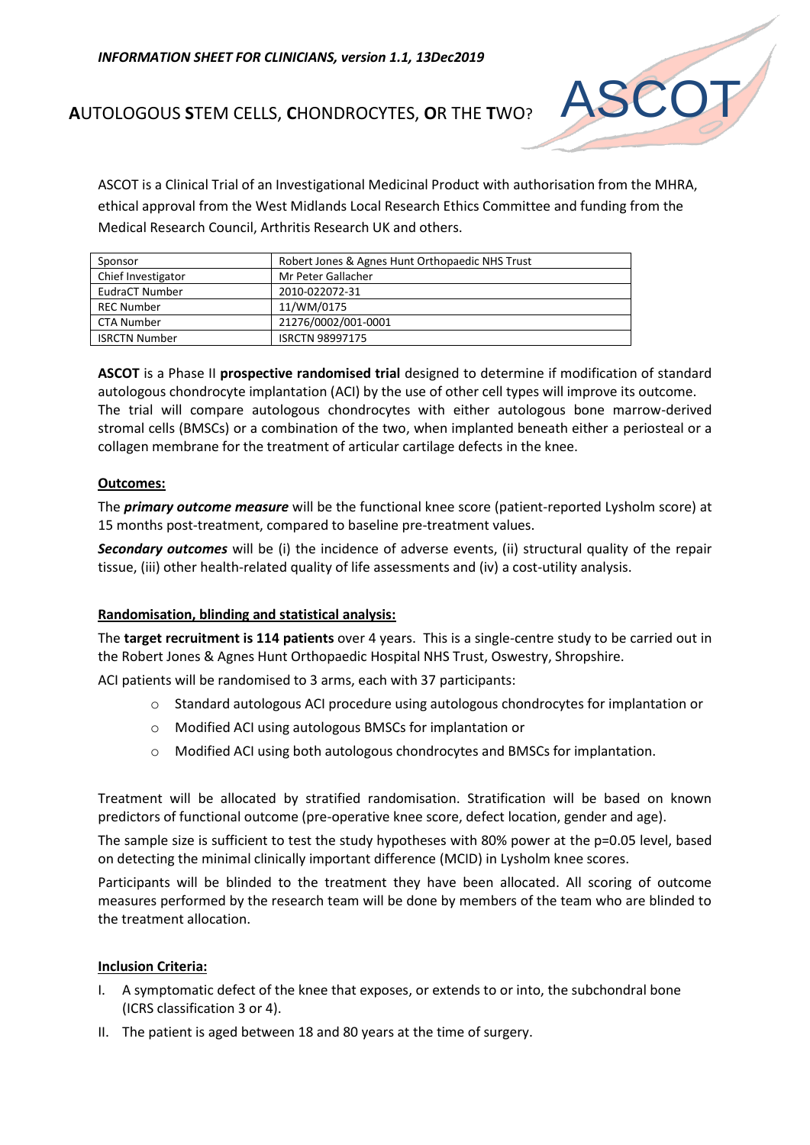

# **A**UTOLOGOUS **S**TEM CELLS, **C**HONDROCYTES, **O**R THE **T**WO?

ASCOT is a Clinical Trial of an Investigational Medicinal Product with authorisation from the MHRA, ethical approval from the West Midlands Local Research Ethics Committee and funding from the Medical Research Council, Arthritis Research UK and others.

| Sponsor              | Robert Jones & Agnes Hunt Orthopaedic NHS Trust |
|----------------------|-------------------------------------------------|
| Chief Investigator   | Mr Peter Gallacher                              |
| EudraCT Number       | 2010-022072-31                                  |
| <b>REC Number</b>    | 11/WM/0175                                      |
| <b>CTA Number</b>    | 21276/0002/001-0001                             |
| <b>ISRCTN Number</b> | <b>ISRCTN 98997175</b>                          |

**ASCOT** is a Phase II **prospective randomised trial** designed to determine if modification of standard autologous chondrocyte implantation (ACI) by the use of other cell types will improve its outcome. The trial will compare autologous chondrocytes with either autologous bone marrow-derived stromal cells (BMSCs) or a combination of the two, when implanted beneath either a periosteal or a collagen membrane for the treatment of articular cartilage defects in the knee.

## **Outcomes:**

The *primary outcome measure* will be the functional knee score (patient-reported Lysholm score) at 15 months post-treatment, compared to baseline pre-treatment values.

*Secondary outcomes* will be (i) the incidence of adverse events, (ii) structural quality of the repair tissue, (iii) other health-related quality of life assessments and (iv) a cost-utility analysis.

# **Randomisation, blinding and statistical analysis:**

The **target recruitment is 114 patients** over 4 years. This is a single-centre study to be carried out in the Robert Jones & Agnes Hunt Orthopaedic Hospital NHS Trust, Oswestry, Shropshire.

ACI patients will be randomised to 3 arms, each with 37 participants:

- o Standard autologous ACI procedure using autologous chondrocytes for implantation or
- o Modified ACI using autologous BMSCs for implantation or
- o Modified ACI using both autologous chondrocytes and BMSCs for implantation.

Treatment will be allocated by stratified randomisation. Stratification will be based on known predictors of functional outcome (pre-operative knee score, defect location, gender and age).

The sample size is sufficient to test the study hypotheses with 80% power at the p=0.05 level, based on detecting the minimal clinically important difference (MCID) in Lysholm knee scores.

Participants will be blinded to the treatment they have been allocated. All scoring of outcome measures performed by the research team will be done by members of the team who are blinded to the treatment allocation.

#### **Inclusion Criteria:**

- I. A symptomatic defect of the knee that exposes, or extends to or into, the subchondral bone (ICRS classification 3 or 4).
- II. The patient is aged between 18 and 80 years at the time of surgery.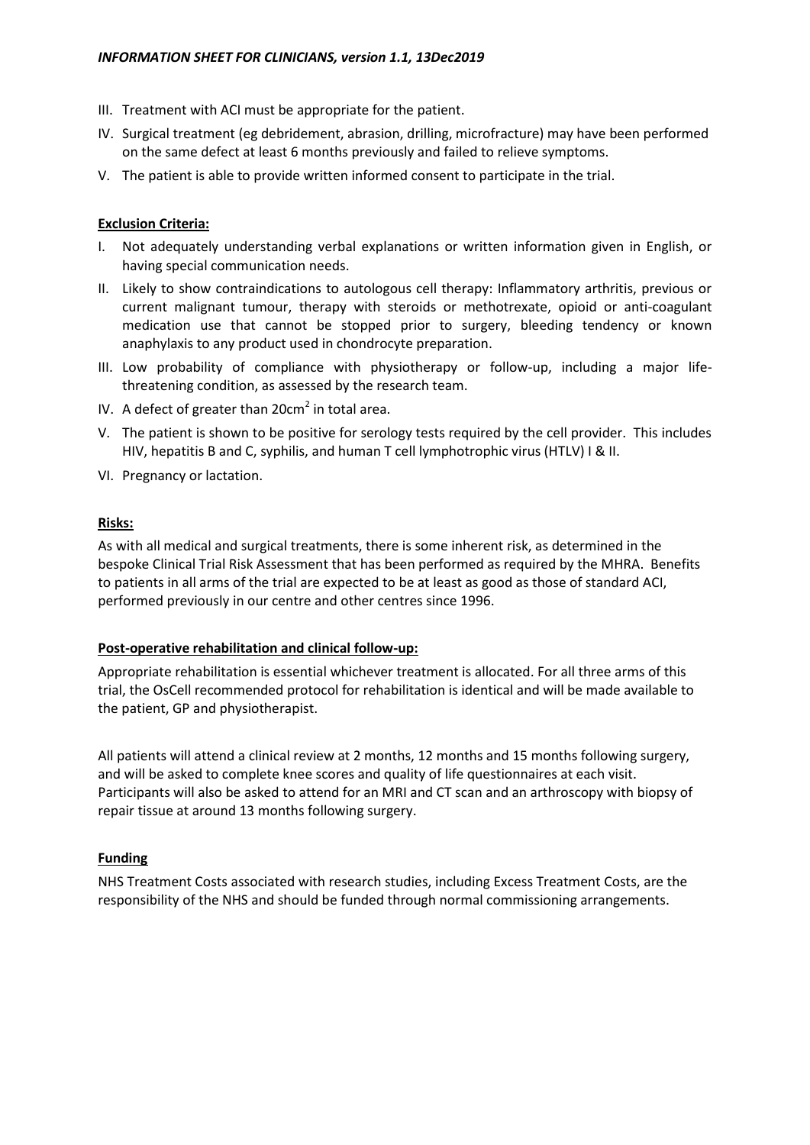- III. Treatment with ACI must be appropriate for the patient.
- IV. Surgical treatment (eg debridement, abrasion, drilling, microfracture) may have been performed on the same defect at least 6 months previously and failed to relieve symptoms.
- V. The patient is able to provide written informed consent to participate in the trial.

## **Exclusion Criteria:**

- I. Not adequately understanding verbal explanations or written information given in English, or having special communication needs.
- II. Likely to show contraindications to autologous cell therapy: Inflammatory arthritis, previous or current malignant tumour, therapy with steroids or methotrexate, opioid or anti-coagulant medication use that cannot be stopped prior to surgery, bleeding tendency or known anaphylaxis to any product used in chondrocyte preparation.
- III. Low probability of compliance with physiotherapy or follow-up, including a major lifethreatening condition, as assessed by the research team.
- IV. A defect of greater than  $20 \text{cm}^2$  in total area.
- V. The patient is shown to be positive for serology tests required by the cell provider. This includes HIV, hepatitis B and C, syphilis, and human T cell lymphotrophic virus (HTLV) I & II.
- VI. Pregnancy or lactation.

## **Risks:**

As with all medical and surgical treatments, there is some inherent risk, as determined in the bespoke Clinical Trial Risk Assessment that has been performed as required by the MHRA. Benefits to patients in all arms of the trial are expected to be at least as good as those of standard ACI, performed previously in our centre and other centres since 1996.

#### **Post-operative rehabilitation and clinical follow-up:**

Appropriate rehabilitation is essential whichever treatment is allocated. For all three arms of this trial, the OsCell recommended protocol for rehabilitation is identical and will be made available to the patient, GP and physiotherapist.

All patients will attend a clinical review at 2 months, 12 months and 15 months following surgery, and will be asked to complete knee scores and quality of life questionnaires at each visit. Participants will also be asked to attend for an MRI and CT scan and an arthroscopy with biopsy of repair tissue at around 13 months following surgery.

# **Funding**

NHS Treatment Costs associated with research studies, including Excess Treatment Costs, are the responsibility of the NHS and should be funded through normal commissioning arrangements.